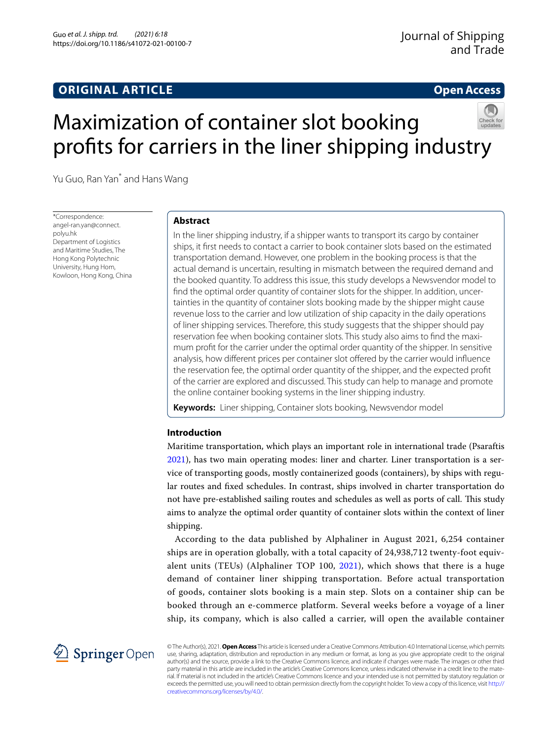# **ORIGINAL ARTICLE**

## **Open Access**

# Maximization of container slot booking profts for carriers in the liner shipping industry



Yu Guo, Ran Yan\* and Hans Wang

\*Correspondence: angel-ran.yan@connect. polyu.hk Department of Logistics and Maritime Studies, The Hong Kong Polytechnic University, Hung Hom, Kowloon, Hong Kong, China

# **Abstract**

In the liner shipping industry, if a shipper wants to transport its cargo by container ships, it frst needs to contact a carrier to book container slots based on the estimated transportation demand. However, one problem in the booking process is that the actual demand is uncertain, resulting in mismatch between the required demand and the booked quantity. To address this issue, this study develops a Newsvendor model to fnd the optimal order quantity of container slots for the shipper. In addition, uncertainties in the quantity of container slots booking made by the shipper might cause revenue loss to the carrier and low utilization of ship capacity in the daily operations of liner shipping services. Therefore, this study suggests that the shipper should pay reservation fee when booking container slots. This study also aims to fnd the maximum proft for the carrier under the optimal order quantity of the shipper. In sensitive analysis, how diferent prices per container slot ofered by the carrier would infuence the reservation fee, the optimal order quantity of the shipper, and the expected proft of the carrier are explored and discussed. This study can help to manage and promote the online container booking systems in the liner shipping industry.

**Keywords:** Liner shipping, Container slots booking, Newsvendor model

## **Introduction**

Maritime transportation, which plays an important role in international trade (Psaraftis [2021](#page-8-0)), has two main operating modes: liner and charter. Liner transportation is a service of transporting goods, mostly containerized goods (containers), by ships with regular routes and fxed schedules. In contrast, ships involved in charter transportation do not have pre-established sailing routes and schedules as well as ports of call. This study aims to analyze the optimal order quantity of container slots within the context of liner shipping.

According to the data published by Alphaliner in August 2021, 6,254 container ships are in operation globally, with a total capacity of 24,938,712 twenty-foot equivalent units (TEUs) (Alphaliner TOP 100, [2021\)](#page-8-1), which shows that there is a huge demand of container liner shipping transportation. Before actual transportation of goods, container slots booking is a main step. Slots on a container ship can be booked through an e-commerce platform. Several weeks before a voyage of a liner ship, its company, which is also called a carrier, will open the available container



© The Author(s), 2021. **Open Access** This article is licensed under a Creative Commons Attribution 4.0 International License, which permits use, sharing, adaptation, distribution and reproduction in any medium or format, as long as you give appropriate credit to the original author(s) and the source, provide a link to the Creative Commons licence, and indicate if changes were made. The images or other third party material in this article are included in the article's Creative Commons licence, unless indicated otherwise in a credit line to the material. If material is not included in the article's Creative Commons licence and your intended use is not permitted by statutory regulation or exceeds the permitted use, you will need to obtain permission directly from the copyright holder. To view a copy of this licence, visit [http://](http://creativecommons.org/licenses/by/4.0/) [creativecommons.org/licenses/by/4.0/.](http://creativecommons.org/licenses/by/4.0/)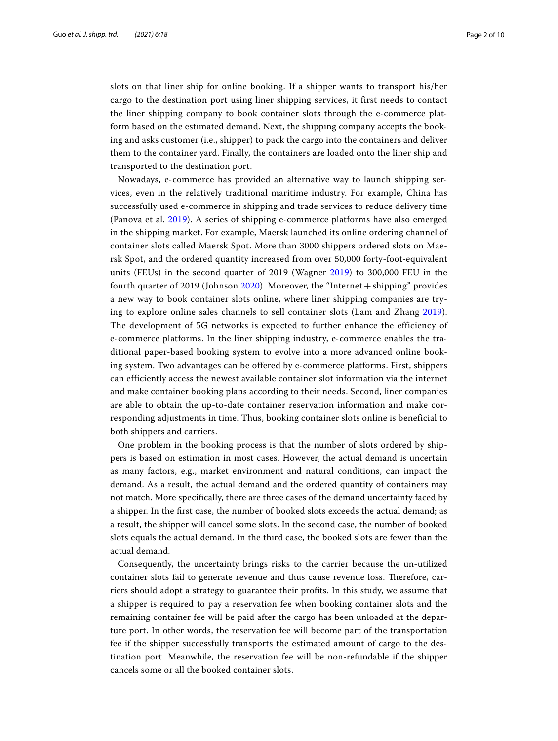slots on that liner ship for online booking. If a shipper wants to transport his/her cargo to the destination port using liner shipping services, it first needs to contact the liner shipping company to book container slots through the e-commerce platform based on the estimated demand. Next, the shipping company accepts the booking and asks customer (i.e., shipper) to pack the cargo into the containers and deliver them to the container yard. Finally, the containers are loaded onto the liner ship and transported to the destination port.

Nowadays, e-commerce has provided an alternative way to launch shipping services, even in the relatively traditional maritime industry. For example, China has successfully used e-commerce in shipping and trade services to reduce delivery time (Panova et al. [2019\)](#page-8-2). A series of shipping e-commerce platforms have also emerged in the shipping market. For example, Maersk launched its online ordering channel of container slots called Maersk Spot. More than 3000 shippers ordered slots on Maersk Spot, and the ordered quantity increased from over 50,000 forty-foot-equivalent units (FEUs) in the second quarter of 2019 (Wagner [2019\)](#page-8-3) to 300,000 FEU in the fourth quarter of 2019 (Johnson [2020](#page-8-4)). Moreover, the "Internet + shipping" provides a new way to book container slots online, where liner shipping companies are trying to explore online sales channels to sell container slots (Lam and Zhang [2019](#page-8-5)). The development of 5G networks is expected to further enhance the efficiency of e-commerce platforms. In the liner shipping industry, e-commerce enables the traditional paper-based booking system to evolve into a more advanced online booking system. Two advantages can be offered by e-commerce platforms. First, shippers can efficiently access the newest available container slot information via the internet and make container booking plans according to their needs. Second, liner companies are able to obtain the up-to-date container reservation information and make corresponding adjustments in time. Thus, booking container slots online is beneficial to both shippers and carriers.

One problem in the booking process is that the number of slots ordered by shippers is based on estimation in most cases. However, the actual demand is uncertain as many factors, e.g., market environment and natural conditions, can impact the demand. As a result, the actual demand and the ordered quantity of containers may not match. More specifcally, there are three cases of the demand uncertainty faced by a shipper. In the frst case, the number of booked slots exceeds the actual demand; as a result, the shipper will cancel some slots. In the second case, the number of booked slots equals the actual demand. In the third case, the booked slots are fewer than the actual demand.

Consequently, the uncertainty brings risks to the carrier because the un-utilized container slots fail to generate revenue and thus cause revenue loss. Therefore, carriers should adopt a strategy to guarantee their profts. In this study, we assume that a shipper is required to pay a reservation fee when booking container slots and the remaining container fee will be paid after the cargo has been unloaded at the departure port. In other words, the reservation fee will become part of the transportation fee if the shipper successfully transports the estimated amount of cargo to the destination port. Meanwhile, the reservation fee will be non-refundable if the shipper cancels some or all the booked container slots.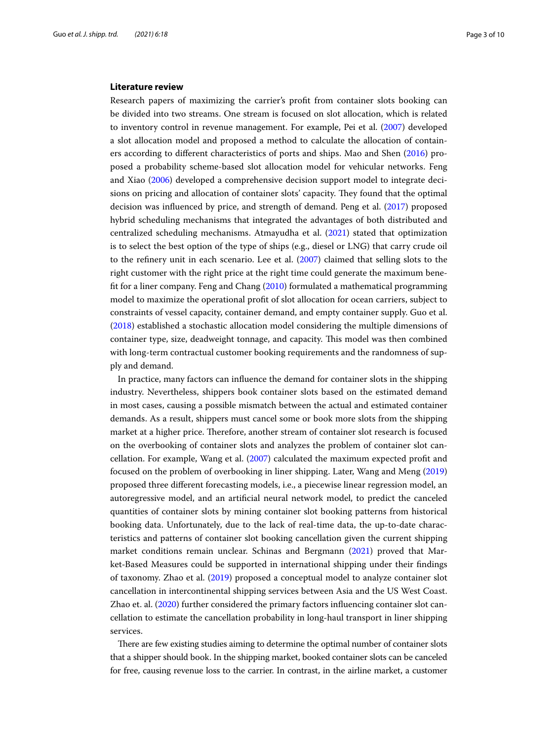#### **Literature review**

Research papers of maximizing the carrier's proft from container slots booking can be divided into two streams. One stream is focused on slot allocation, which is related to inventory control in revenue management. For example, Pei et al. ([2007](#page-8-6)) developed a slot allocation model and proposed a method to calculate the allocation of containers according to diferent characteristics of ports and ships. Mao and Shen [\(2016\)](#page-8-7) proposed a probability scheme-based slot allocation model for vehicular networks. Feng and Xiao [\(2006](#page-8-8)) developed a comprehensive decision support model to integrate decisions on pricing and allocation of container slots' capacity. They found that the optimal decision was infuenced by price, and strength of demand. Peng et al. [\(2017\)](#page-8-9) proposed hybrid scheduling mechanisms that integrated the advantages of both distributed and centralized scheduling mechanisms. Atmayudha et al. [\(2021](#page-8-10)) stated that optimization is to select the best option of the type of ships (e.g., diesel or LNG) that carry crude oil to the refnery unit in each scenario. Lee et al. ([2007](#page-8-11)) claimed that selling slots to the right customer with the right price at the right time could generate the maximum beneft for a liner company. Feng and Chang ([2010](#page-8-12)) formulated a mathematical programming model to maximize the operational proft of slot allocation for ocean carriers, subject to constraints of vessel capacity, container demand, and empty container supply. Guo et al. ([2018\)](#page-8-13) established a stochastic allocation model considering the multiple dimensions of container type, size, deadweight tonnage, and capacity. Tis model was then combined with long-term contractual customer booking requirements and the randomness of supply and demand.

In practice, many factors can infuence the demand for container slots in the shipping industry. Nevertheless, shippers book container slots based on the estimated demand in most cases, causing a possible mismatch between the actual and estimated container demands. As a result, shippers must cancel some or book more slots from the shipping market at a higher price. Therefore, another stream of container slot research is focused on the overbooking of container slots and analyzes the problem of container slot cancellation. For example, Wang et al. [\(2007\)](#page-8-14) calculated the maximum expected proft and focused on the problem of overbooking in liner shipping. Later, Wang and Meng ([2019](#page-8-15)) proposed three diferent forecasting models, i.e., a piecewise linear regression model, an autoregressive model, and an artifcial neural network model, to predict the canceled quantities of container slots by mining container slot booking patterns from historical booking data. Unfortunately, due to the lack of real-time data, the up-to-date characteristics and patterns of container slot booking cancellation given the current shipping market conditions remain unclear. Schinas and Bergmann [\(2021](#page-8-16)) proved that Market-Based Measures could be supported in international shipping under their findings of taxonomy. Zhao et al. ([2019\)](#page-8-17) proposed a conceptual model to analyze container slot cancellation in intercontinental shipping services between Asia and the US West Coast. Zhao et. al. ([2020](#page-8-18)) further considered the primary factors infuencing container slot cancellation to estimate the cancellation probability in long-haul transport in liner shipping services.

There are few existing studies aiming to determine the optimal number of container slots that a shipper should book. In the shipping market, booked container slots can be canceled for free, causing revenue loss to the carrier. In contrast, in the airline market, a customer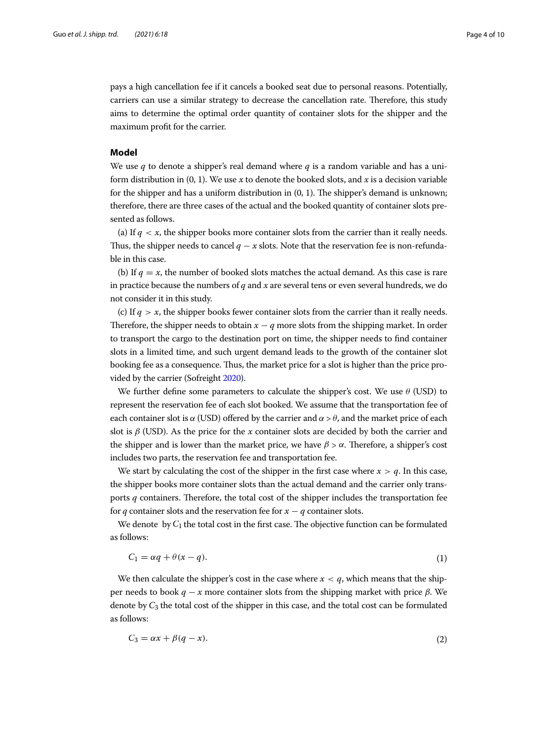pays a high cancellation fee if it cancels a booked seat due to personal reasons. Potentially, carriers can use a similar strategy to decrease the cancellation rate. Therefore, this study aims to determine the optimal order quantity of container slots for the shipper and the maximum proft for the carrier.

### **Model**

We use q to denote a shipper's real demand where q is a random variable and has a uniform distribution in  $(0, 1)$ . We use x to denote the booked slots, and x is a decision variable for the shipper and has a uniform distribution in  $(0, 1)$ . The shipper's demand is unknown; therefore, there are three cases of the actual and the booked quantity of container slots presented as follows.

(a) If  $q \lt x$ , the shipper books more container slots from the carrier than it really needs. Thus, the shipper needs to cancel  $q - x$  slots. Note that the reservation fee is non-refundable in this case.

(b) If  $q = x$ , the number of booked slots matches the actual demand. As this case is rare in practice because the numbers of  $q$  and  $x$  are several tens or even several hundreds, we do not consider it in this study.

(c) If  $q > x$ , the shipper books fewer container slots from the carrier than it really needs. Therefore, the shipper needs to obtain  $x - q$  more slots from the shipping market. In order to transport the cargo to the destination port on time, the shipper needs to fnd container slots in a limited time, and such urgent demand leads to the growth of the container slot booking fee as a consequence. Thus, the market price for a slot is higher than the price provided by the carrier (Sofreight [2020](#page-8-19)).

We further define some parameters to calculate the shipper's cost. We use  $\theta$  (USD) to represent the reservation fee of each slot booked. We assume that the transportation fee of each container slot is  $\alpha$  (USD) offered by the carrier and  $\alpha > \theta$ , and the market price of each slot is  $\beta$  (USD). As the price for the x container slots are decided by both the carrier and the shipper and is lower than the market price, we have  $\beta > \alpha$ . Therefore, a shipper's cost includes two parts, the reservation fee and transportation fee.

We start by calculating the cost of the shipper in the first case where  $x > q$ . In this case, the shipper books more container slots than the actual demand and the carrier only transports  $q$  containers. Therefore, the total cost of the shipper includes the transportation fee for q container slots and the reservation fee for  $x - q$  container slots.

We denote by  $C_1$  the total cost in the first case. The objective function can be formulated as follows:

$$
C_1 = \alpha q + \theta(x - q). \tag{1}
$$

We then calculate the shipper's cost in the case where  $x < q$ , which means that the shipper needs to book  $q - x$  more container slots from the shipping market with price  $\beta$ . We denote by  $C_3$  the total cost of the shipper in this case, and the total cost can be formulated as follows:

$$
C_3 = \alpha x + \beta (q - x). \tag{2}
$$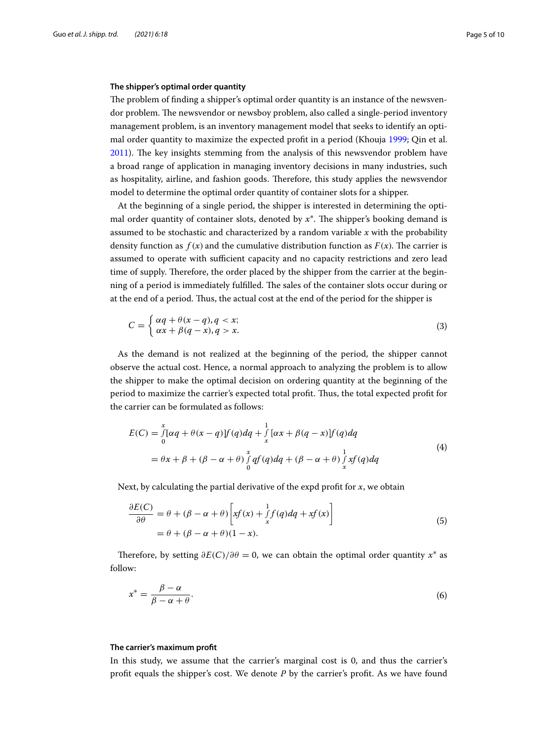#### **The shipper's optimal order quantity**

The problem of finding a shipper's optimal order quantity is an instance of the newsvendor problem. The newsvendor or newsboy problem, also called a single-period inventory management problem, is an inventory management model that seeks to identify an optimal order quantity to maximize the expected proft in a period (Khouja [1999](#page-8-20); Qin et al.  $2011$ ). The key insights stemming from the analysis of this newsvendor problem have a broad range of application in managing inventory decisions in many industries, such as hospitality, airline, and fashion goods. Therefore, this study applies the newsvendor model to determine the optimal order quantity of container slots for a shipper.

At the beginning of a single period, the shipper is interested in determining the optimal order quantity of container slots, denoted by  $x^*$ . The shipper's booking demand is assumed to be stochastic and characterized by a random variable  $x$  with the probability density function as  $f(x)$  and the cumulative distribution function as  $F(x)$ . The carrier is assumed to operate with sufficient capacity and no capacity restrictions and zero lead time of supply. Therefore, the order placed by the shipper from the carrier at the beginning of a period is immediately fulfilled. The sales of the container slots occur during or at the end of a period. Tus, the actual cost at the end of the period for the shipper is

$$
C = \begin{cases} \alpha q + \theta(x - q), q < x; \\ \alpha x + \beta(q - x), q > x. \end{cases} \tag{3}
$$

As the demand is not realized at the beginning of the period, the shipper cannot observe the actual cost. Hence, a normal approach to analyzing the problem is to allow the shipper to make the optimal decision on ordering quantity at the beginning of the period to maximize the carrier's expected total proft. Tus, the total expected proft for the carrier can be formulated as follows:

$$
E(C) = \int_{0}^{x} [\alpha q + \theta(x - q)] f(q) dq + \int_{x}^{1} [\alpha x + \beta(q - x)] f(q) dq
$$
  
=  $\theta x + \beta + (\beta - \alpha + \theta) \int_{0}^{x} q f(q) dq + (\beta - \alpha + \theta) \int_{x}^{1} x f(q) dq$  (4)

Next, by calculating the partial derivative of the expd profit for  $x$ , we obtain

$$
\frac{\partial E(C)}{\partial \theta} = \theta + (\beta - \alpha + \theta) \left[ xf(x) + \int_x^1 f(q) dq + xf(x) \right]
$$
  
=  $\theta + (\beta - \alpha + \theta)(1 - x).$  (5)

Therefore, by setting  $\partial E(C)/\partial \theta = 0$ , we can obtain the optimal order quantity  $x^*$  as follow:

$$
x^* = \frac{\beta - \alpha}{\beta - \alpha + \theta}.\tag{6}
$$

#### **The carrier's maximum proft**

In this study, we assume that the carrier's marginal cost is 0, and thus the carrier's profit equals the shipper's cost. We denote  $P$  by the carrier's profit. As we have found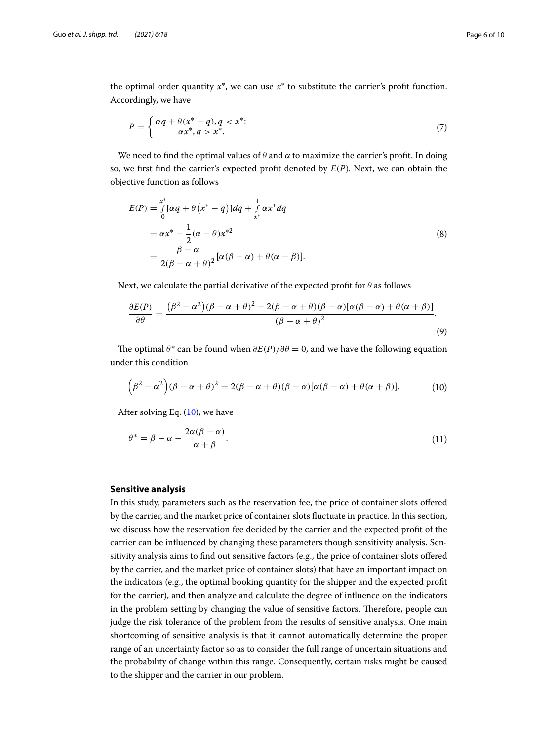the optimal order quantity  $x^*$ , we can use  $x^*$  to substitute the carrier's profit function. Accordingly, we have

$$
P = \begin{cases} \alpha q + \theta (x^* - q), q < x^*; \\ \alpha x^*, q > x^*. \end{cases}
$$
\n
$$
(7)
$$

We need to find the optimal values of  $\theta$  and  $\alpha$  to maximize the carrier's profit. In doing so, we first find the carrier's expected profit denoted by  $E(P)$ . Next, we can obtain the objective function as follows

<span id="page-5-0"></span>
$$
E(P) = \int_{0}^{x^{*}} [\alpha q + \theta (x^{*} - q)] dq + \int_{x^{*}}^{1} \alpha x^{*} dq
$$
  
=  $\alpha x^{*} - \frac{1}{2} (\alpha - \theta) x^{*2}$   
=  $\frac{\beta - \alpha}{2(\beta - \alpha + \theta)^{2}} [\alpha(\beta - \alpha) + \theta(\alpha + \beta)].$  (8)

Next, we calculate the partial derivative of the expected profit for  $\theta$  as follows

$$
\frac{\partial E(P)}{\partial \theta} = \frac{(\beta^2 - \alpha^2)(\beta - \alpha + \theta)^2 - 2(\beta - \alpha + \theta)(\beta - \alpha)[\alpha(\beta - \alpha) + \theta(\alpha + \beta)]}{(\beta - \alpha + \theta)^2}.
$$
\n(9)

The optimal  $\theta^*$  can be found when  $\partial E(P)/\partial \theta = 0$ , and we have the following equation under this condition

$$
(\beta^2 - \alpha^2)(\beta - \alpha + \theta)^2 = 2(\beta - \alpha + \theta)(\beta - \alpha)[\alpha(\beta - \alpha) + \theta(\alpha + \beta)].
$$
 (10)

After solving Eq.  $(10)$ , we have

$$
\theta^* = \beta - \alpha - \frac{2\alpha(\beta - \alpha)}{\alpha + \beta}.
$$
\n(11)

#### **Sensitive analysis**

In this study, parameters such as the reservation fee, the price of container slots ofered by the carrier, and the market price of container slots fuctuate in practice. In this section, we discuss how the reservation fee decided by the carrier and the expected proft of the carrier can be infuenced by changing these parameters though sensitivity analysis. Sensitivity analysis aims to fnd out sensitive factors (e.g., the price of container slots ofered by the carrier, and the market price of container slots) that have an important impact on the indicators (e.g., the optimal booking quantity for the shipper and the expected proft for the carrier), and then analyze and calculate the degree of infuence on the indicators in the problem setting by changing the value of sensitive factors. Therefore, people can judge the risk tolerance of the problem from the results of sensitive analysis. One main shortcoming of sensitive analysis is that it cannot automatically determine the proper range of an uncertainty factor so as to consider the full range of uncertain situations and the probability of change within this range. Consequently, certain risks might be caused to the shipper and the carrier in our problem.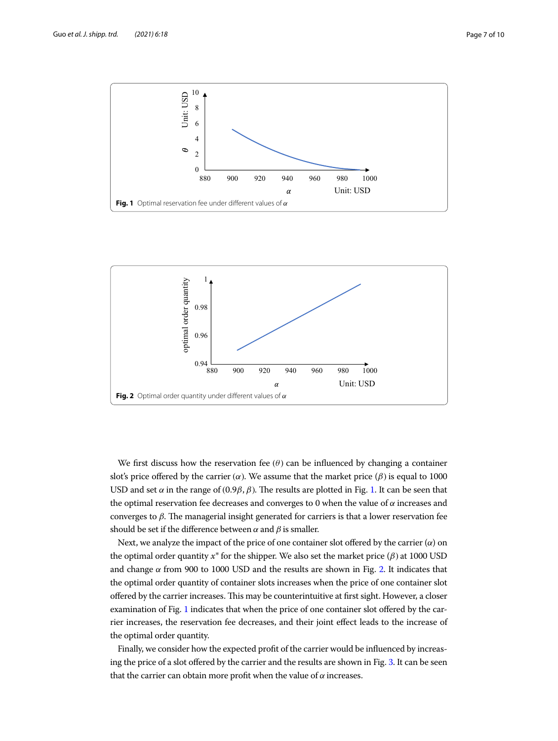

<span id="page-6-0"></span>

<span id="page-6-1"></span>We first discuss how the reservation fee  $(\theta)$  can be influenced by changing a container slot's price offered by the carrier  $(\alpha)$ . We assume that the market price  $(\beta)$  is equal to 1000 USD and set  $\alpha$  in the range of (0.9 $\beta$ ,  $\beta$ ). The results are plotted in Fig. [1.](#page-6-0) It can be seen that the optimal reservation fee decreases and converges to 0 when the value of  $\alpha$  increases and converges to  $\beta$ . The managerial insight generated for carriers is that a lower reservation fee should be set if the difference between  $\alpha$  and  $\beta$  is smaller.

Next, we analyze the impact of the price of one container slot offered by the carrier  $(\alpha)$  on the optimal order quantity  $x^*$  for the shipper. We also set the market price ( $\beta$ ) at 1000 USD and change  $\alpha$  from 900 to 1000 USD and the results are shown in Fig. [2](#page-6-1). It indicates that the optimal order quantity of container slots increases when the price of one container slot ofered by the carrier increases. Tis may be counterintuitive at frst sight. However, a closer examination of Fig. [1](#page-6-0) indicates that when the price of one container slot ofered by the carrier increases, the reservation fee decreases, and their joint efect leads to the increase of the optimal order quantity.

Finally, we consider how the expected proft of the carrier would be infuenced by increas-ing the price of a slot offered by the carrier and the results are shown in Fig. [3.](#page-7-0) It can be seen that the carrier can obtain more profit when the value of  $\alpha$  increases.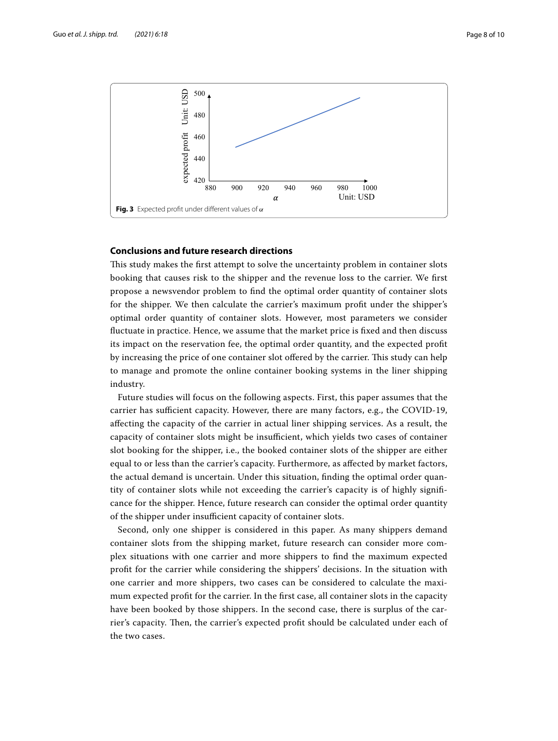

## <span id="page-7-0"></span>**Conclusions and future research directions**

This study makes the first attempt to solve the uncertainty problem in container slots booking that causes risk to the shipper and the revenue loss to the carrier. We frst propose a newsvendor problem to fnd the optimal order quantity of container slots for the shipper. We then calculate the carrier's maximum proft under the shipper's optimal order quantity of container slots. However, most parameters we consider fuctuate in practice. Hence, we assume that the market price is fxed and then discuss its impact on the reservation fee, the optimal order quantity, and the expected proft by increasing the price of one container slot offered by the carrier. This study can help to manage and promote the online container booking systems in the liner shipping industry.

Future studies will focus on the following aspects. First, this paper assumes that the carrier has sufficient capacity. However, there are many factors, e.g., the COVID-19, afecting the capacity of the carrier in actual liner shipping services. As a result, the capacity of container slots might be insufficient, which yields two cases of container slot booking for the shipper, i.e., the booked container slots of the shipper are either equal to or less than the carrier's capacity. Furthermore, as afected by market factors, the actual demand is uncertain. Under this situation, fnding the optimal order quantity of container slots while not exceeding the carrier's capacity is of highly signifcance for the shipper. Hence, future research can consider the optimal order quantity of the shipper under insufficient capacity of container slots.

Second, only one shipper is considered in this paper. As many shippers demand container slots from the shipping market, future research can consider more complex situations with one carrier and more shippers to fnd the maximum expected proft for the carrier while considering the shippers' decisions. In the situation with one carrier and more shippers, two cases can be considered to calculate the maximum expected proft for the carrier. In the frst case, all container slots in the capacity have been booked by those shippers. In the second case, there is surplus of the carrier's capacity. Then, the carrier's expected profit should be calculated under each of the two cases.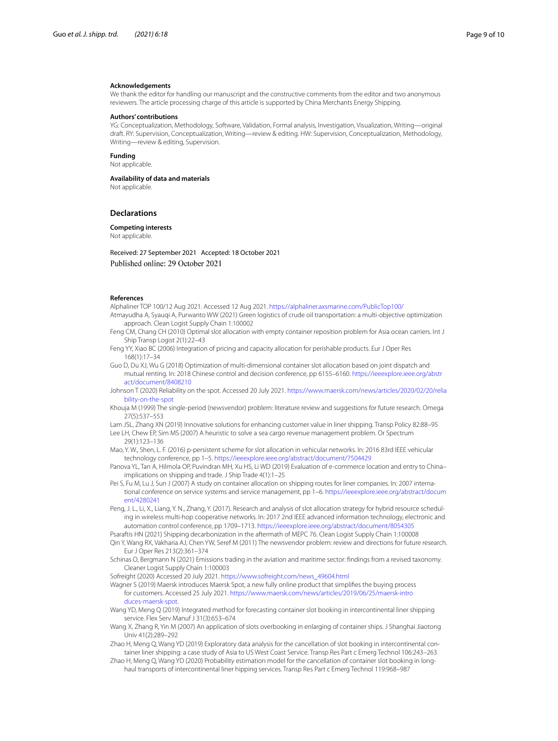#### **Acknowledgements**

We thank the editor for handling our manuscript and the constructive comments from the editor and two anonymous reviewers. The article processing charge of this article is supported by China Merchants Energy Shipping.

#### **Authors' contributions**

YG: Conceptualization, Methodology, Software, Validation, Formal analysis, Investigation, Visualization, Writing—original draft. RY: Supervision, Conceptualization, Writing—review & editing. HW: Supervision, Conceptualization, Methodology, Writing—review & editing, Supervision.

**Funding**

Not applicable.

**Availability of data and materials**

Not applicable.

#### **Declarations**

**Competing interests**

Not applicable.

Received: 27 September 2021 Accepted: 18 October 2021 Published online: 29 October 2021

#### **References**

<span id="page-8-1"></span>Alphaliner TOP 100/12 Aug 2021. Accessed 12 Aug 2021. <https://alphaliner.axsmarine.com/PublicTop100/>

- <span id="page-8-10"></span>Atmayudha A, Syauqi A, Purwanto WW (2021) Green logistics of crude oil transportation: a multi-objective optimization approach. Clean Logist Supply Chain 1:100002
- <span id="page-8-12"></span>Feng CM, Chang CH (2010) Optimal slot allocation with empty container reposition problem for Asia ocean carriers. Int J Ship Transp Logist 2(1):22–43
- <span id="page-8-8"></span>Feng YY, Xiao BC (2006) Integration of pricing and capacity allocation for perishable products. Eur J Oper Res 168(1):17–34
- <span id="page-8-13"></span>Guo D, Du XJ, Wu G (2018) Optimization of multi-dimensional container slot allocation based on joint dispatch and mutual renting. In: 2018 Chinese control and decision conference, pp 6155–6160. [https://ieeexplore.ieee.org/abstr](https://ieeexplore.ieee.org/abstract/document/8408210) [act/document/8408210](https://ieeexplore.ieee.org/abstract/document/8408210)
- <span id="page-8-4"></span>Johnson T (2020) Reliability on the spot. Accessed 20 July 2021. [https://www.maersk.com/news/articles/2020/02/20/relia](https://www.maersk.com/news/articles/2020/02/20/reliability-on-the-spot) [bility-on-the-spot](https://www.maersk.com/news/articles/2020/02/20/reliability-on-the-spot)
- <span id="page-8-20"></span>Khouja M (1999) The single-period (newsvendor) problem: literature review and suggestions for future research. Omega 27(5):537–553

<span id="page-8-5"></span>Lam JSL, Zhang XN (2019) Innovative solutions for enhancing customer value in liner shipping. Transp Policy 82:88–95

- <span id="page-8-11"></span>Lee LH, Chew EP, Sim MS (2007) A heuristic to solve a sea cargo revenue management problem. Or Spectrum 29(1):123–136
- <span id="page-8-7"></span>Mao, Y. W., Shen, L. F. (2016) p-persistent scheme for slot allocation in vehicular networks. In: 2016 83rd IEEE vehicular technology conference, pp 1–5. <https://ieeexplore.ieee.org/abstract/document/7504429>
- <span id="page-8-2"></span>Panova YL, Tan A, Hilmola OP, Puvindran MH, Xu HS, Li WD (2019) Evaluation of e-commerce location and entry to China– implications on shipping and trade. J Ship Trade 4(1):1–25
- <span id="page-8-6"></span>Pei S, Fu M, Lu J, Sun J (2007) A study on container allocation on shipping routes for liner companies. In: 2007 international conference on service systems and service management, pp 1–6. [https://ieeexplore.ieee.org/abstract/docum](https://ieeexplore.ieee.org/abstract/document/4280241) [ent/4280241](https://ieeexplore.ieee.org/abstract/document/4280241)
- <span id="page-8-9"></span>Peng, J. L., Li, X., Liang, Y. N., Zhang, Y. (2017). Research and analysis of slot allocation strategy for hybrid resource scheduling in wireless multi-hop cooperative networks. In: 2017 2nd IEEE advanced information technology, electronic and automation control conference, pp 1709–1713. <https://ieeexplore.ieee.org/abstract/document/8054305>

<span id="page-8-0"></span>Psaraftis HN (2021) Shipping decarbonization in the aftermath of MEPC 76. Clean Logist Supply Chain 1:100008

- <span id="page-8-21"></span>Qin Y, Wang RX, Vakharia AJ, Chen YW, Seref M (2011) The newsvendor problem: review and directions for future research. Eur J Oper Res 213(2):361–374
- <span id="page-8-16"></span>Schinas O, Bergmann N (2021) Emissions trading in the aviation and maritime sector: fndings from a revised taxonomy. Cleaner Logist Supply Chain 1:100003
- <span id="page-8-19"></span>Sofreight (2020) Accessed 20 July 2021. [https://www.sofreight.com/news\\_49604.html](https://www.sofreight.com/news_49604.html)
- <span id="page-8-3"></span>Wagner S (2019) Maersk introduces Maersk Spot, a new fully online product that simplifes the buying process for customers. Accessed 25 July 2021. [https://www.maersk.com/news/articles/2019/06/25/maersk-intro](https://www.maersk.com/news/articles/2019/06/25/maersk-introduces-maersk-spot) [duces-maersk-spot](https://www.maersk.com/news/articles/2019/06/25/maersk-introduces-maersk-spot).
- <span id="page-8-15"></span>Wang YD, Meng Q (2019) Integrated method for forecasting container slot booking in intercontinental liner shipping service. Flex Serv Manuf J 31(3):653–674
- <span id="page-8-14"></span>Wang X, Zhang R, Yin M (2007) An application of slots overbooking in enlarging of container ships. J Shanghai Jiaotong Univ 41(2):289–292
- <span id="page-8-17"></span>Zhao H, Meng Q, Wang YD (2019) Exploratory data analysis for the cancellation of slot booking in intercontinental container liner shipping: a case study of Asia to US West Coast Service. Transp Res Part c Emerg Technol 106:243–263
- <span id="page-8-18"></span>Zhao H, Meng Q, Wang YD (2020) Probability estimation model for the cancellation of container slot booking in longhaul transports of intercontinental liner hipping services. Transp Res Part c Emerg Technol 119:968–987